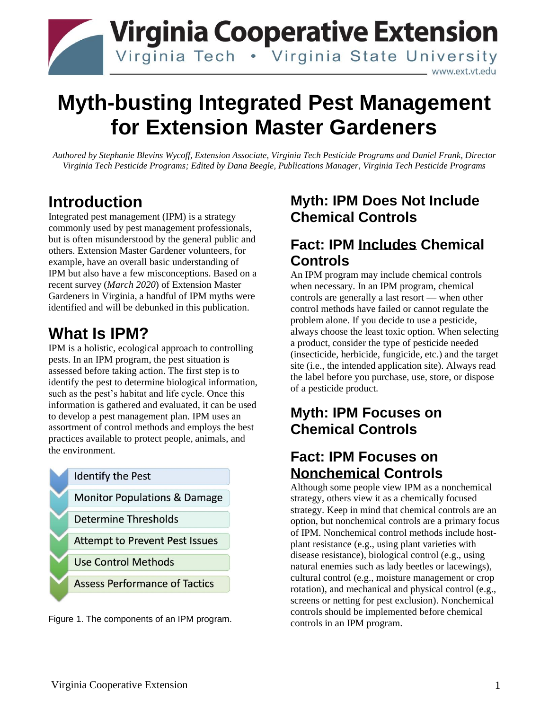

# **Myth-busting Integrated Pest Management for Extension Master Gardeners**

*Authored by Stephanie Blevins Wycoff, Extension Associate, Virginia Tech Pesticide Programs and Daniel Frank, Director Virginia Tech Pesticide Programs; Edited by Dana Beegle, Publications Manager, Virginia Tech Pesticide Programs*

### **Introduction**

Integrated pest management (IPM) is a strategy commonly used by pest management professionals, but is often misunderstood by the general public and others. Extension Master Gardener volunteers, for example, have an overall basic understanding of IPM but also have a few misconceptions. Based on a recent survey (*March 2020*) of Extension Master Gardeners in Virginia, a handful of IPM myths were identified and will be debunked in this publication.

### **What Is IPM?**

IPM is a holistic, ecological approach to controlling pests. In an IPM program, the pest situation is assessed before taking action. The first step is to identify the pest to determine biological information, such as the pest's habitat and life cycle. Once this information is gathered and evaluated, it can be used to develop a pest management plan. IPM uses an assortment of control methods and employs the best practices available to protect people, animals, and the environment.



Figure 1. The components of an IPM program.

#### **Myth: IPM Does Not Include Chemical Controls**

#### **Fact: IPM Includes Chemical Controls**

An IPM program may include chemical controls when necessary. In an IPM program, chemical controls are generally a last resort — when other control methods have failed or cannot regulate the problem alone. If you decide to use a pesticide, always choose the least toxic option. When selecting a product, consider the type of pesticide needed (insecticide, herbicide, fungicide, etc.) and the target site (i.e., the intended application site). Always read the label before you purchase, use, store, or dispose of a pesticide product.

#### **Myth: IPM Focuses on Chemical Controls**

#### **Fact: IPM Focuses on Nonchemical Controls**

Although some people view IPM as a nonchemical strategy, others view it as a chemically focused strategy. Keep in mind that chemical controls are an option, but nonchemical controls are a primary focus of IPM. Nonchemical control methods include hostplant resistance (e.g., using plant varieties with disease resistance), biological control (e.g., using natural enemies such as lady beetles or lacewings), cultural control (e.g., moisture management or crop rotation), and mechanical and physical control (e.g., screens or netting for pest exclusion). Nonchemical controls should be implemented before chemical controls in an IPM program.